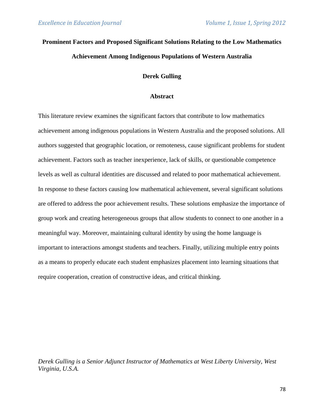# **Prominent Factors and Proposed Significant Solutions Relating to the Low Mathematics Achievement Among Indigenous Populations of Western Australia**

## **Derek Gulling**

#### **Abstract**

This literature review examines the significant factors that contribute to low mathematics achievement among indigenous populations in Western Australia and the proposed solutions. All authors suggested that geographic location, or remoteness, cause significant problems for student achievement. Factors such as teacher inexperience, lack of skills, or questionable competence levels as well as cultural identities are discussed and related to poor mathematical achievement. In response to these factors causing low mathematical achievement, several significant solutions are offered to address the poor achievement results. These solutions emphasize the importance of group work and creating heterogeneous groups that allow students to connect to one another in a meaningful way. Moreover, maintaining cultural identity by using the home language is important to interactions amongst students and teachers. Finally, utilizing multiple entry points as a means to properly educate each student emphasizes placement into learning situations that require cooperation, creation of constructive ideas, and critical thinking.

*Derek Gulling is a Senior Adjunct Instructor of Mathematics at West Liberty University, West Virginia, U.S.A.*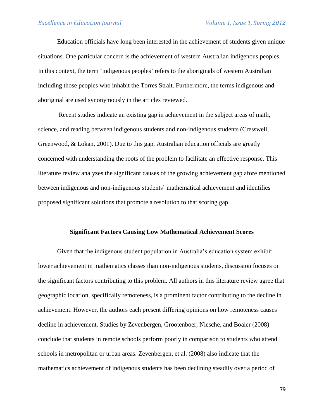Education officials have long been interested in the achievement of students given unique situations. One particular concern is the achievement of western Australian indigenous peoples. In this context, the term 'indigenous peoples' refers to the aboriginals of western Australian including those peoples who inhabit the Torres Strait. Furthermore, the terms indigenous and aboriginal are used synonymously in the articles reviewed.

Recent studies indicate an existing gap in achievement in the subject areas of math, science, and reading between indigenous students and non-indigenous students (Cresswell, Greenwood, & Lokan, 2001). Due to this gap, Australian education officials are greatly concerned with understanding the roots of the problem to facilitate an effective response. This literature review analyzes the significant causes of the growing achievement gap afore mentioned between indigenous and non-indigenous students' mathematical achievement and identifies proposed significant solutions that promote a resolution to that scoring gap.

#### **Significant Factors Causing Low Mathematical Achievement Scores**

Given that the indigenous student population in Australia's education system exhibit lower achievement in mathematics classes than non-indigenous students, discussion focuses on the significant factors contributing to this problem. All authors in this literature review agree that geographic location, specifically remoteness, is a prominent factor contributing to the decline in achievement. However, the authors each present differing opinions on how remoteness causes decline in achievement. Studies by Zevenbergen, Grootenboer, Niesche, and Boaler (2008) conclude that students in remote schools perform poorly in comparison to students who attend schools in metropolitan or urban areas. Zevenbergen, et al. (2008) also indicate that the mathematics achievement of indigenous students has been declining steadily over a period of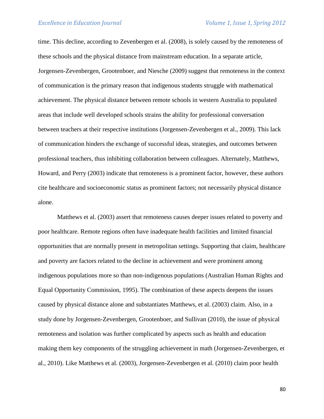time. This decline, according to Zevenbergen et al. (2008), is solely caused by the remoteness of these schools and the physical distance from mainstream education. In a separate article, Jorgensen-Zevenbergen, Grootenboer, and Niesche (2009) suggest that remoteness in the context of communication is the primary reason that indigenous students struggle with mathematical achievement. The physical distance between remote schools in western Australia to populated areas that include well developed schools strains the ability for professional conversation between teachers at their respective institutions (Jorgensen-Zevenbergen et al., 2009). This lack of communication hinders the exchange of successful ideas, strategies, and outcomes between professional teachers, thus inhibiting collaboration between colleagues. Alternately, Matthews, Howard, and Perry (2003) indicate that remoteness is a prominent factor, however, these authors cite healthcare and socioeconomic status as prominent factors; not necessarily physical distance alone.

Matthews et al. (2003) assert that remoteness causes deeper issues related to poverty and poor healthcare. Remote regions often have inadequate health facilities and limited financial opportunities that are normally present in metropolitan settings. Supporting that claim, healthcare and poverty are factors related to the decline in achievement and were prominent among indigenous populations more so than non-indigenous populations (Australian Human Rights and Equal Opportunity Commission, 1995). The combination of these aspects deepens the issues caused by physical distance alone and substantiates Matthews, et al. (2003) claim. Also, in a study done by Jorgensen-Zevenbergen, Grootenboer, and Sullivan (2010), the issue of physical remoteness and isolation was further complicated by aspects such as health and education making them key components of the struggling achievement in math (Jorgensen-Zevenbergen, et al., 2010). Like Matthews et al. (2003), Jorgensen-Zevenbergen et al. (2010) claim poor health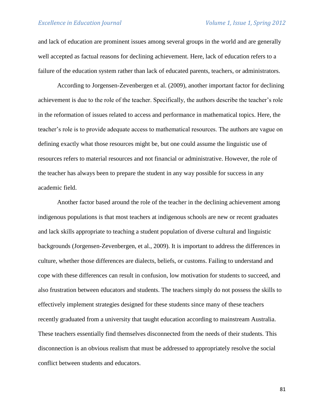and lack of education are prominent issues among several groups in the world and are generally well accepted as factual reasons for declining achievement. Here, lack of education refers to a failure of the education system rather than lack of educated parents, teachers, or administrators.

According to Jorgensen-Zevenbergen et al. (2009), another important factor for declining achievement is due to the role of the teacher. Specifically, the authors describe the teacher's role in the reformation of issues related to access and performance in mathematical topics. Here, the teacher's role is to provide adequate access to mathematical resources. The authors are vague on defining exactly what those resources might be, but one could assume the linguistic use of resources refers to material resources and not financial or administrative. However, the role of the teacher has always been to prepare the student in any way possible for success in any academic field.

Another factor based around the role of the teacher in the declining achievement among indigenous populations is that most teachers at indigenous schools are new or recent graduates and lack skills appropriate to teaching a student population of diverse cultural and linguistic backgrounds (Jorgensen-Zevenbergen, et al., 2009). It is important to address the differences in culture, whether those differences are dialects, beliefs, or customs. Failing to understand and cope with these differences can result in confusion, low motivation for students to succeed, and also frustration between educators and students. The teachers simply do not possess the skills to effectively implement strategies designed for these students since many of these teachers recently graduated from a university that taught education according to mainstream Australia. These teachers essentially find themselves disconnected from the needs of their students. This disconnection is an obvious realism that must be addressed to appropriately resolve the social conflict between students and educators.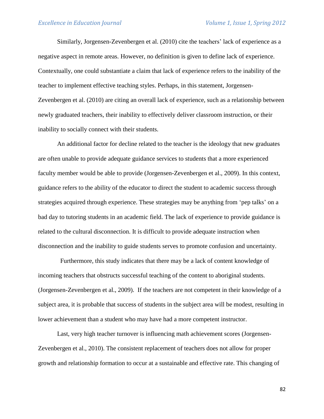Similarly, Jorgensen-Zevenbergen et al. (2010) cite the teachers' lack of experience as a negative aspect in remote areas. However, no definition is given to define lack of experience. Contextually, one could substantiate a claim that lack of experience refers to the inability of the teacher to implement effective teaching styles. Perhaps, in this statement, Jorgensen-Zevenbergen et al. (2010) are citing an overall lack of experience, such as a relationship between newly graduated teachers, their inability to effectively deliver classroom instruction, or their inability to socially connect with their students.

An additional factor for decline related to the teacher is the ideology that new graduates are often unable to provide adequate guidance services to students that a more experienced faculty member would be able to provide (Jorgensen-Zevenbergen et al., 2009). In this context, guidance refers to the ability of the educator to direct the student to academic success through strategies acquired through experience. These strategies may be anything from 'pep talks' on a bad day to tutoring students in an academic field. The lack of experience to provide guidance is related to the cultural disconnection. It is difficult to provide adequate instruction when disconnection and the inability to guide students serves to promote confusion and uncertainty.

 Furthermore, this study indicates that there may be a lack of content knowledge of incoming teachers that obstructs successful teaching of the content to aboriginal students. (Jorgensen-Zevenbergen et al., 2009). If the teachers are not competent in their knowledge of a subject area, it is probable that success of students in the subject area will be modest, resulting in lower achievement than a student who may have had a more competent instructor.

Last, very high teacher turnover is influencing math achievement scores (Jorgensen-Zevenbergen et al., 2010). The consistent replacement of teachers does not allow for proper growth and relationship formation to occur at a sustainable and effective rate. This changing of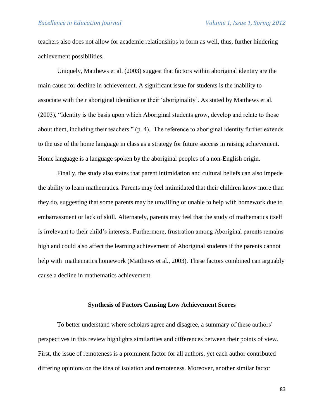teachers also does not allow for academic relationships to form as well, thus, further hindering achievement possibilities.

Uniquely, Matthews et al. (2003) suggest that factors within aboriginal identity are the main cause for decline in achievement. A significant issue for students is the inability to associate with their aboriginal identities or their 'aboriginality'. As stated by Matthews et al. (2003), "Identity is the basis upon which Aboriginal students grow, develop and relate to those about them, including their teachers." (p. 4). The reference to aboriginal identity further extends to the use of the home language in class as a strategy for future success in raising achievement. Home language is a language spoken by the aboriginal peoples of a non-English origin.

Finally, the study also states that parent intimidation and cultural beliefs can also impede the ability to learn mathematics. Parents may feel intimidated that their children know more than they do, suggesting that some parents may be unwilling or unable to help with homework due to embarrassment or lack of skill. Alternately, parents may feel that the study of mathematics itself is irrelevant to their child's interests. Furthermore, frustration among Aboriginal parents remains high and could also affect the learning achievement of Aboriginal students if the parents cannot help with mathematics homework (Matthews et al., 2003). These factors combined can arguably cause a decline in mathematics achievement.

#### **Synthesis of Factors Causing Low Achievement Scores**

To better understand where scholars agree and disagree, a summary of these authors' perspectives in this review highlights similarities and differences between their points of view. First, the issue of remoteness is a prominent factor for all authors, yet each author contributed differing opinions on the idea of isolation and remoteness. Moreover, another similar factor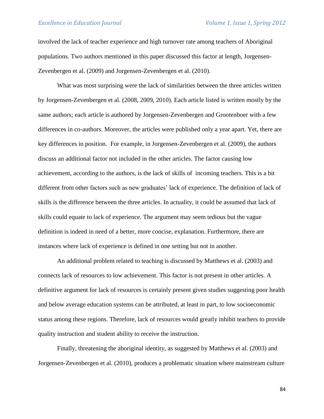involved the lack of teacher experience and high turnover rate among teachers of Aboriginal populations. Two authors mentioned in this paper discussed this factor at length, Jorgensen-Zevenbergen et al. (2009) and Jorgensen-Zevenbergen et al. (2010).

What was most surprising were the lack of similarities between the three articles written by Jorgensen-Zevenbergen et al. (2008, 2009, 2010). Each article listed is written mostly by the same authors; each article is authored by Jorgensen-Zevenbergen and Grootenboer with a few differences in co-authors. Moreover, the articles were published only a year apart. Yet, there are key differences in position. For example, in Jorgensen-Zevenbergen et al. (2009), the authors discuss an additional factor not included in the other articles. The factor causing low achievement, according to the authors, is the lack of skills of incoming teachers. This is a bit different from other factors such as new graduates' lack of experience. The definition of lack of skills is the difference between the three articles. In actuality, it could be assumed that lack of skills could equate to lack of experience. The argument may seem tedious but the vague definition is indeed in need of a better, more concise, explanation. Furthermore, there are instances where lack of experience is defined in one setting but not in another.

An additional problem related to teaching is discussed by Matthews et al. (2003) and connects lack of resources to low achievement. This factor is not present in other articles. A definitive argument for lack of resources is certainly present given studies suggesting poor health and below average education systems can be attributed, at least in part, to low socioeconomic status among these regions. Therefore, lack of resources would greatly inhibit teachers to provide quality instruction and student ability to receive the instruction.

Finally, threatening the aboriginal identity, as suggested by Matthews et al. (2003) and Jorgensen-Zevenbergen et al. (2010), produces a problematic situation where mainstream culture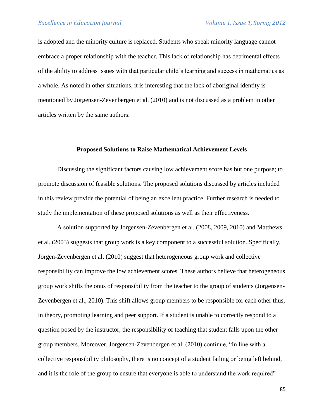is adopted and the minority culture is replaced. Students who speak minority language cannot embrace a proper relationship with the teacher. This lack of relationship has detrimental effects of the ability to address issues with that particular child's learning and success in mathematics as a whole. As noted in other situations, it is interesting that the lack of aboriginal identity is mentioned by Jorgensen-Zevenbergen et al. (2010) and is not discussed as a problem in other articles written by the same authors.

#### **Proposed Solutions to Raise Mathematical Achievement Levels**

Discussing the significant factors causing low achievement score has but one purpose; to promote discussion of feasible solutions. The proposed solutions discussed by articles included in this review provide the potential of being an excellent practice. Further research is needed to study the implementation of these proposed solutions as well as their effectiveness.

A solution supported by Jorgensen-Zevenbergen et al. (2008, 2009, 2010) and Matthews et al. (2003) suggests that group work is a key component to a successful solution. Specifically, Jorgen-Zevenbergen et al. (2010) suggest that heterogeneous group work and collective responsibility can improve the low achievement scores. These authors believe that heterogeneous group work shifts the onus of responsibility from the teacher to the group of students (Jorgensen-Zevenbergen et al., 2010). This shift allows group members to be responsible for each other thus, in theory, promoting learning and peer support. If a student is unable to correctly respond to a question posed by the instructor, the responsibility of teaching that student falls upon the other group members. Moreover, Jorgensen-Zevenbergen et al. (2010) continue, "In line with a collective responsibility philosophy, there is no concept of a student failing or being left behind, and it is the role of the group to ensure that everyone is able to understand the work required"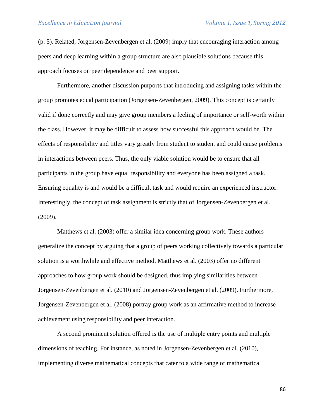(p. 5). Related, Jorgensen-Zevenbergen et al. (2009) imply that encouraging interaction among peers and deep learning within a group structure are also plausible solutions because this approach focuses on peer dependence and peer support.

Furthermore, another discussion purports that introducing and assigning tasks within the group promotes equal participation (Jorgensen-Zevenbergen, 2009). This concept is certainly valid if done correctly and may give group members a feeling of importance or self-worth within the class. However, it may be difficult to assess how successful this approach would be. The effects of responsibility and titles vary greatly from student to student and could cause problems in interactions between peers. Thus, the only viable solution would be to ensure that all participants in the group have equal responsibility and everyone has been assigned a task. Ensuring equality is and would be a difficult task and would require an experienced instructor. Interestingly, the concept of task assignment is strictly that of Jorgensen-Zevenbergen et al. (2009).

Matthews et al. (2003) offer a similar idea concerning group work. These authors generalize the concept by arguing that a group of peers working collectively towards a particular solution is a worthwhile and effective method. Matthews et al. (2003) offer no different approaches to how group work should be designed, thus implying similarities between Jorgensen-Zevenbergen et al. (2010) and Jorgensen-Zevenbergen et al. (2009). Furthermore, Jorgensen-Zevenbergen et al. (2008) portray group work as an affirmative method to increase achievement using responsibility and peer interaction.

A second prominent solution offered is the use of multiple entry points and multiple dimensions of teaching. For instance, as noted in Jorgensen-Zevenbergen et al. (2010), implementing diverse mathematical concepts that cater to a wide range of mathematical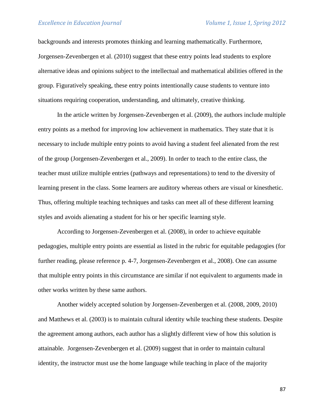backgrounds and interests promotes thinking and learning mathematically. Furthermore, Jorgensen-Zevenbergen et al. (2010) suggest that these entry points lead students to explore alternative ideas and opinions subject to the intellectual and mathematical abilities offered in the group. Figuratively speaking, these entry points intentionally cause students to venture into situations requiring cooperation, understanding, and ultimately, creative thinking.

In the article written by Jorgensen-Zevenbergen et al. (2009), the authors include multiple entry points as a method for improving low achievement in mathematics. They state that it is necessary to include multiple entry points to avoid having a student feel alienated from the rest of the group (Jorgensen-Zevenbergen et al., 2009). In order to teach to the entire class, the teacher must utilize multiple entries (pathways and representations) to tend to the diversity of learning present in the class. Some learners are auditory whereas others are visual or kinesthetic. Thus, offering multiple teaching techniques and tasks can meet all of these different learning styles and avoids alienating a student for his or her specific learning style.

According to Jorgensen-Zevenbergen et al. (2008), in order to achieve equitable pedagogies, multiple entry points are essential as listed in the rubric for equitable pedagogies (for further reading, please reference p. 4-7, Jorgensen-Zevenbergen et al., 2008). One can assume that multiple entry points in this circumstance are similar if not equivalent to arguments made in other works written by these same authors.

Another widely accepted solution by Jorgensen-Zevenbergen et al. (2008, 2009, 2010) and Matthews et al. (2003) is to maintain cultural identity while teaching these students. Despite the agreement among authors, each author has a slightly different view of how this solution is attainable. Jorgensen-Zevenbergen et al. (2009) suggest that in order to maintain cultural identity, the instructor must use the home language while teaching in place of the majority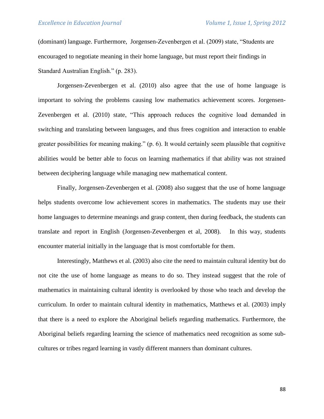(dominant) language. Furthermore, Jorgensen-Zevenbergen et al. (2009) state, "Students are encouraged to negotiate meaning in their home language, but must report their findings in Standard Australian English." (p. 283).

Jorgensen-Zevenbergen et al. (2010) also agree that the use of home language is important to solving the problems causing low mathematics achievement scores. Jorgensen-Zevenbergen et al. (2010) state, "This approach reduces the cognitive load demanded in switching and translating between languages, and thus frees cognition and interaction to enable greater possibilities for meaning making." (p. 6). It would certainly seem plausible that cognitive abilities would be better able to focus on learning mathematics if that ability was not strained between deciphering language while managing new mathematical content.

Finally, Jorgensen-Zevenbergen et al. (2008) also suggest that the use of home language helps students overcome low achievement scores in mathematics. The students may use their home languages to determine meanings and grasp content, then during feedback, the students can translate and report in English (Jorgensen-Zevenbergen et al, 2008). In this way, students encounter material initially in the language that is most comfortable for them.

Interestingly, Matthews et al. (2003) also cite the need to maintain cultural identity but do not cite the use of home language as means to do so. They instead suggest that the role of mathematics in maintaining cultural identity is overlooked by those who teach and develop the curriculum. In order to maintain cultural identity in mathematics, Matthews et al. (2003) imply that there is a need to explore the Aboriginal beliefs regarding mathematics. Furthermore, the Aboriginal beliefs regarding learning the science of mathematics need recognition as some subcultures or tribes regard learning in vastly different manners than dominant cultures.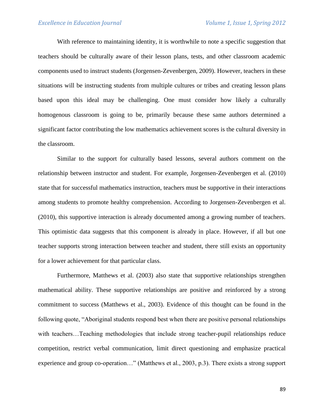With reference to maintaining identity, it is worthwhile to note a specific suggestion that teachers should be culturally aware of their lesson plans, tests, and other classroom academic components used to instruct students (Jorgensen-Zevenbergen, 2009). However, teachers in these situations will be instructing students from multiple cultures or tribes and creating lesson plans based upon this ideal may be challenging. One must consider how likely a culturally homogenous classroom is going to be, primarily because these same authors determined a significant factor contributing the low mathematics achievement scores is the cultural diversity in the classroom.

Similar to the support for culturally based lessons, several authors comment on the relationship between instructor and student. For example, Jorgensen-Zevenbergen et al. (2010) state that for successful mathematics instruction, teachers must be supportive in their interactions among students to promote healthy comprehension. According to Jorgensen-Zevenbergen et al. (2010), this supportive interaction is already documented among a growing number of teachers. This optimistic data suggests that this component is already in place. However, if all but one teacher supports strong interaction between teacher and student, there still exists an opportunity for a lower achievement for that particular class.

Furthermore, Matthews et al. (2003) also state that supportive relationships strengthen mathematical ability. These supportive relationships are positive and reinforced by a strong commitment to success (Matthews et al., 2003). Evidence of this thought can be found in the following quote, "Aboriginal students respond best when there are positive personal relationships with teachers…Teaching methodologies that include strong teacher-pupil relationships reduce competition, restrict verbal communication, limit direct questioning and emphasize practical experience and group co-operation…" (Matthews et al., 2003, p.3). There exists a strong support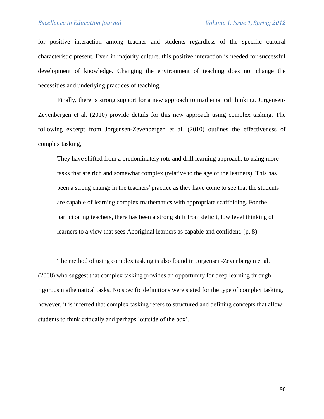for positive interaction among teacher and students regardless of the specific cultural characteristic present. Even in majority culture, this positive interaction is needed for successful development of knowledge. Changing the environment of teaching does not change the necessities and underlying practices of teaching.

Finally, there is strong support for a new approach to mathematical thinking. Jorgensen-Zevenbergen et al. (2010) provide details for this new approach using complex tasking. The following excerpt from Jorgensen-Zevenbergen et al. (2010) outlines the effectiveness of complex tasking,

They have shifted from a predominately rote and drill learning approach, to using more tasks that are rich and somewhat complex (relative to the age of the learners). This has been a strong change in the teachers' practice as they have come to see that the students are capable of learning complex mathematics with appropriate scaffolding. For the participating teachers, there has been a strong shift from deficit, low level thinking of learners to a view that sees Aboriginal learners as capable and confident. (p. 8).

The method of using complex tasking is also found in Jorgensen-Zevenbergen et al. (2008) who suggest that complex tasking provides an opportunity for deep learning through rigorous mathematical tasks. No specific definitions were stated for the type of complex tasking, however, it is inferred that complex tasking refers to structured and defining concepts that allow students to think critically and perhaps 'outside of the box'.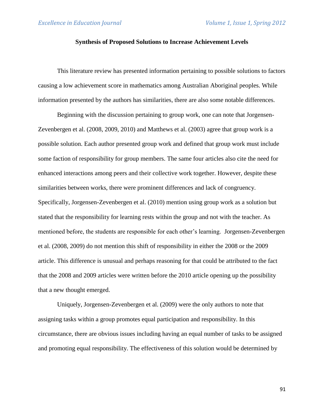### **Synthesis of Proposed Solutions to Increase Achievement Levels**

This literature review has presented information pertaining to possible solutions to factors causing a low achievement score in mathematics among Australian Aboriginal peoples. While information presented by the authors has similarities, there are also some notable differences.

Beginning with the discussion pertaining to group work, one can note that Jorgensen-Zevenbergen et al. (2008, 2009, 2010) and Matthews et al. (2003) agree that group work is a possible solution. Each author presented group work and defined that group work must include some faction of responsibility for group members. The same four articles also cite the need for enhanced interactions among peers and their collective work together. However, despite these similarities between works, there were prominent differences and lack of congruency. Specifically, Jorgensen-Zevenbergen et al. (2010) mention using group work as a solution but stated that the responsibility for learning rests within the group and not with the teacher. As mentioned before, the students are responsible for each other's learning. Jorgensen-Zevenbergen et al. (2008, 2009) do not mention this shift of responsibility in either the 2008 or the 2009 article. This difference is unusual and perhaps reasoning for that could be attributed to the fact that the 2008 and 2009 articles were written before the 2010 article opening up the possibility that a new thought emerged.

Uniquely, Jorgensen-Zevenbergen et al. (2009) were the only authors to note that assigning tasks within a group promotes equal participation and responsibility. In this circumstance, there are obvious issues including having an equal number of tasks to be assigned and promoting equal responsibility. The effectiveness of this solution would be determined by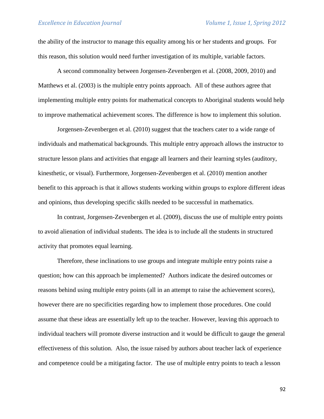the ability of the instructor to manage this equality among his or her students and groups. For this reason, this solution would need further investigation of its multiple, variable factors.

A second commonality between Jorgensen-Zevenbergen et al. (2008, 2009, 2010) and Matthews et al. (2003) is the multiple entry points approach. All of these authors agree that implementing multiple entry points for mathematical concepts to Aboriginal students would help to improve mathematical achievement scores. The difference is how to implement this solution.

Jorgensen-Zevenbergen et al. (2010) suggest that the teachers cater to a wide range of individuals and mathematical backgrounds. This multiple entry approach allows the instructor to structure lesson plans and activities that engage all learners and their learning styles (auditory, kinesthetic, or visual). Furthermore, Jorgensen-Zevenbergen et al. (2010) mention another benefit to this approach is that it allows students working within groups to explore different ideas and opinions, thus developing specific skills needed to be successful in mathematics.

In contrast, Jorgensen-Zevenbergen et al. (2009), discuss the use of multiple entry points to avoid alienation of individual students. The idea is to include all the students in structured activity that promotes equal learning.

Therefore, these inclinations to use groups and integrate multiple entry points raise a question; how can this approach be implemented? Authors indicate the desired outcomes or reasons behind using multiple entry points (all in an attempt to raise the achievement scores), however there are no specificities regarding how to implement those procedures. One could assume that these ideas are essentially left up to the teacher. However, leaving this approach to individual teachers will promote diverse instruction and it would be difficult to gauge the general effectiveness of this solution. Also, the issue raised by authors about teacher lack of experience and competence could be a mitigating factor. The use of multiple entry points to teach a lesson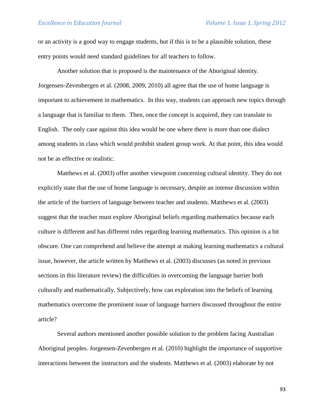or an activity is a good way to engage students, but if this is to be a plausible solution, these entry points would need standard guidelines for all teachers to follow.

Another solution that is proposed is the maintenance of the Aboriginal identity. Jorgensen-Zevenbergen et al. (2008, 2009, 2010) all agree that the use of home language is important to achievement in mathematics. In this way, students can approach new topics through a language that is familiar to them. Then, once the concept is acquired, they can translate to English. The only case against this idea would be one where there is more than one dialect among students in class which would prohibit student group work. At that point, this idea would not be as effective or realistic.

Matthews et al. (2003) offer another viewpoint concerning cultural identity. They do not explicitly state that the use of home language is necessary, despite an intense discussion within the article of the barriers of language between teacher and students. Matthews et al. (2003) suggest that the teacher must explore Aboriginal beliefs regarding mathematics because each culture is different and has different rules regarding learning mathematics. This opinion is a bit obscure. One can comprehend and believe the attempt at making learning mathematics a cultural issue, however, the article written by Matthews et al. (2003) discusses (as noted in previous sections in this literature review) the difficulties in overcoming the language barrier both culturally and mathematically. Subjectively, how can exploration into the beliefs of learning mathematics overcome the prominent issue of language barriers discussed throughout the entire article?

Several authors mentioned another possible solution to the problem facing Australian Aboriginal peoples. Jorgensen-Zevenbergen et al. (2010) highlight the importance of supportive interactions between the instructors and the students. Matthews et al. (2003) elaborate by not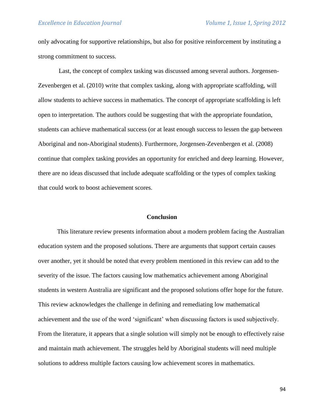only advocating for supportive relationships, but also for positive reinforcement by instituting a strong commitment to success.

Last, the concept of complex tasking was discussed among several authors. Jorgensen-Zevenbergen et al. (2010) write that complex tasking, along with appropriate scaffolding, will allow students to achieve success in mathematics. The concept of appropriate scaffolding is left open to interpretation. The authors could be suggesting that with the appropriate foundation, students can achieve mathematical success (or at least enough success to lessen the gap between Aboriginal and non-Aboriginal students). Furthermore, Jorgensen-Zevenbergen et al. (2008) continue that complex tasking provides an opportunity for enriched and deep learning. However, there are no ideas discussed that include adequate scaffolding or the types of complex tasking that could work to boost achievement scores.

#### **Conclusion**

This literature review presents information about a modern problem facing the Australian education system and the proposed solutions. There are arguments that support certain causes over another, yet it should be noted that every problem mentioned in this review can add to the severity of the issue. The factors causing low mathematics achievement among Aboriginal students in western Australia are significant and the proposed solutions offer hope for the future. This review acknowledges the challenge in defining and remediating low mathematical achievement and the use of the word 'significant' when discussing factors is used subjectively. From the literature, it appears that a single solution will simply not be enough to effectively raise and maintain math achievement. The struggles held by Aboriginal students will need multiple solutions to address multiple factors causing low achievement scores in mathematics.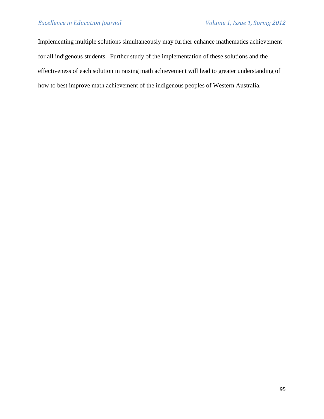Implementing multiple solutions simultaneously may further enhance mathematics achievement for all indigenous students. Further study of the implementation of these solutions and the effectiveness of each solution in raising math achievement will lead to greater understanding of how to best improve math achievement of the indigenous peoples of Western Australia.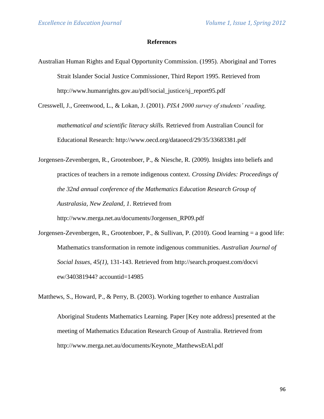#### **References**

Australian Human Rights and Equal Opportunity Commission. (1995). Aboriginal and Torres Strait Islander Social Justice Commissioner, Third Report 1995. Retrieved from http://www.humanrights.gov.au/pdf/social\_justice/sj\_report95.pdf

Cresswell, J., Greenwood, L., & Lokan, J. (2001). *PISA 2000 survey of students' reading,* 

*mathematical and scientific literacy skills.* Retrieved from Australian Council for Educational Research: http://www.oecd.org/dataoecd/29/35/33683381.pdf

Jorgensen-Zevenbergen, R., Grootenboer, P., & Niesche, R. (2009). Insights into beliefs and practices of teachers in a remote indigenous context. *Crossing Divide*s*: Proceedings of the 32nd annual conference of the Mathematics Education Research Group of Australasia, New Zealand, 1*. Retrieved from http://www.merga.net.au/documents/Jorgensen\_RP09.pdf

[Jorgensen-Zevenbergen, R.](http://search.proquest.com/docview.indexfieldauthoraffiliation.lateralsearchlink:lateralsearch/sng/au/Jorgensen+$28Zevenbergen,+Robyn/$N?site=pqrl&t:ac=340381944/abstract&t:cp=maintain/docviewblocks), [Grootenboer, P.,](http://search.proquest.com/docview.indexfieldauthoraffiliation.lateralsearchlink:lateralsearch/sng/au/Grootenboer,+Peter/$N?site=pqrl&t:ac=340381944/abstract&t:cp=maintain/docviewblocks) & [Sullivan, P.](http://search.proquest.com/docview.indexfieldauthoraffiliation.lateralsearchlink:lateralsearch/sng/au/Sullivan,+Peter/$N?site=pqrl&t:ac=340381944/abstract&t:cp=maintain/docviewblocks) (2010). Good learning = a good life: Mathematics transformation in remote indigenous communities. *Australian Journal of Social Issues, 45(1),* 131-143. Retrieved from http://search.proquest.com/docvi ew/340381944? accountid=14985

Matthews, S., Howard, P., & Perry, B. (2003). Working together to enhance Australian

Aboriginal Students Mathematics Learning. Paper [Key note address] presented at the meeting of Mathematics Education Research Group of Australia. Retrieved from http://www.merga.net.au/documents/Keynote\_MatthewsEtAl.pdf